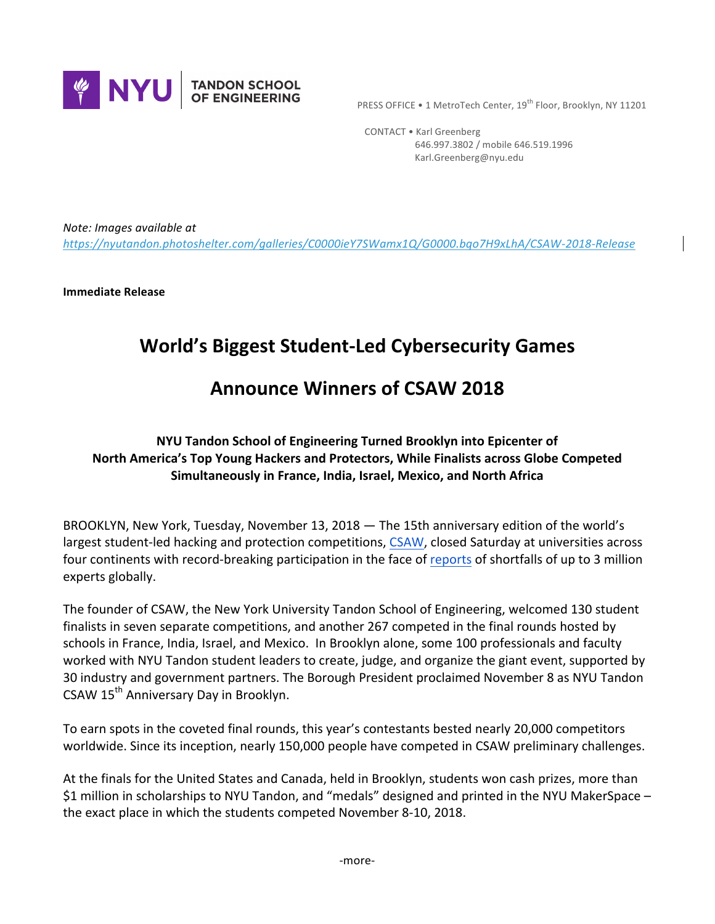

**PRESS OFFICE • 1 MetroTech Center, 19th Floor, Brooklyn, NY 11201** 

 CONTACT • Karl Greenberg 646.997.3802 / mobile 646.519.1996 Karl.Greenberg@nyu.edu

*Note: Images available at https://nyutandon.photoshelter.com/galleries/C0000ieY7SWamx1Q/G0000.bqo7H9xLhA/CSAW-2018-Release*

**Immediate Release** 

# **World's Biggest Student-Led Cybersecurity Games**

# **Announce Winners of CSAW 2018**

# **NYU Tandon School of Engineering Turned Brooklyn into Epicenter of North America's Top Young Hackers and Protectors, While Finalists across Globe Competed Simultaneously in France, India, Israel, Mexico, and North Africa**

BROOKLYN, New York, Tuesday, November 13, 2018  $-$  The 15th anniversary edition of the world's largest student-led hacking and protection competitions, CSAW, closed Saturday at universities across four continents with record-breaking participation in the face of reports of shortfalls of up to 3 million experts globally.

The founder of CSAW, the New York University Tandon School of Engineering, welcomed 130 student finalists in seven separate competitions, and another 267 competed in the final rounds hosted by schools in France, India, Israel, and Mexico. In Brooklyn alone, some 100 professionals and faculty worked with NYU Tandon student leaders to create, judge, and organize the giant event, supported by 30 industry and government partners. The Borough President proclaimed November 8 as NYU Tandon CSAW 15<sup>th</sup> Anniversary Day in Brooklyn.

To earn spots in the coveted final rounds, this year's contestants bested nearly 20,000 competitors worldwide. Since its inception, nearly 150,000 people have competed in CSAW preliminary challenges.

At the finals for the United States and Canada, held in Brooklyn, students won cash prizes, more than \$1 million in scholarships to NYU Tandon, and "medals" designed and printed in the NYU MakerSpace – the exact place in which the students competed November 8-10, 2018.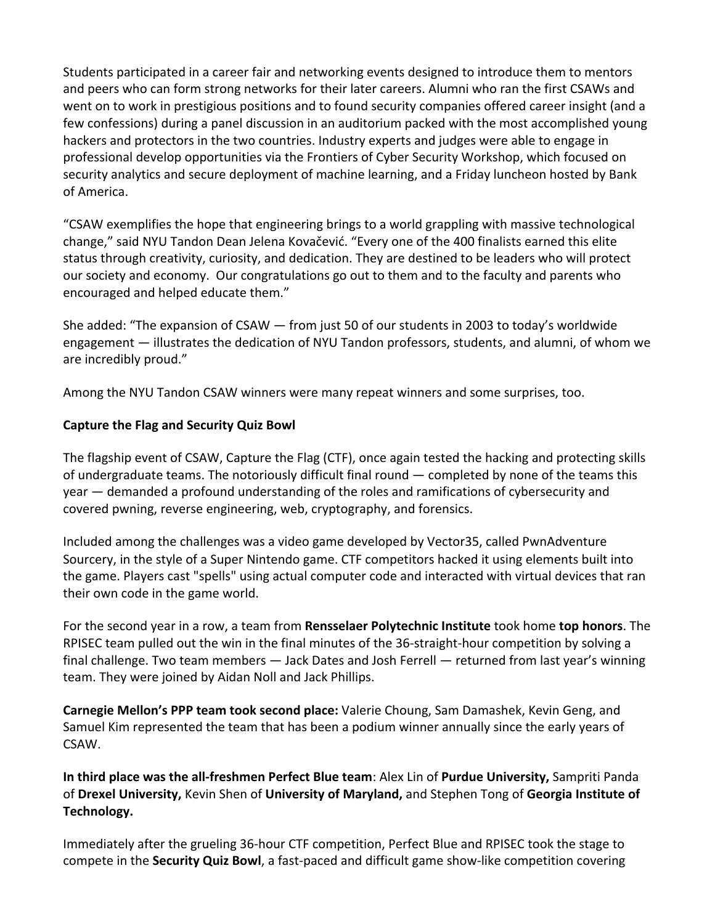Students participated in a career fair and networking events designed to introduce them to mentors and peers who can form strong networks for their later careers. Alumni who ran the first CSAWs and went on to work in prestigious positions and to found security companies offered career insight (and a few confessions) during a panel discussion in an auditorium packed with the most accomplished young hackers and protectors in the two countries. Industry experts and judges were able to engage in professional develop opportunities via the Frontiers of Cyber Security Workshop, which focused on security analytics and secure deployment of machine learning, and a Friday luncheon hosted by Bank of America.

"CSAW exemplifies the hope that engineering brings to a world grappling with massive technological change," said NYU Tandon Dean Jelena Kovačević. "Every one of the 400 finalists earned this elite status through creativity, curiosity, and dedication. They are destined to be leaders who will protect our society and economy. Our congratulations go out to them and to the faculty and parents who encouraged and helped educate them."

She added: "The expansion of CSAW — from just 50 of our students in 2003 to today's worldwide engagement  $-$  illustrates the dedication of NYU Tandon professors, students, and alumni, of whom we are incredibly proud."

Among the NYU Tandon CSAW winners were many repeat winners and some surprises, too.

# **Capture the Flag and Security Quiz Bowl**

The flagship event of CSAW, Capture the Flag (CTF), once again tested the hacking and protecting skills of undergraduate teams. The notoriously difficult final round  $-$  completed by none of the teams this year — demanded a profound understanding of the roles and ramifications of cybersecurity and covered pwning, reverse engineering, web, cryptography, and forensics.

Included among the challenges was a video game developed by Vector35, called PwnAdventure Sourcery, in the style of a Super Nintendo game. CTF competitors hacked it using elements built into the game. Players cast "spells" using actual computer code and interacted with virtual devices that ran their own code in the game world.

For the second year in a row, a team from **Rensselaer Polytechnic Institute** took home **top honors**. The RPISEC team pulled out the win in the final minutes of the 36-straight-hour competition by solving a final challenge. Two team members  $-$  Jack Dates and Josh Ferrell  $-$  returned from last year's winning team. They were joined by Aidan Noll and Jack Phillips.

**Carnegie Mellon's PPP team took second place:** Valerie Choung, Sam Damashek, Kevin Geng, and Samuel Kim represented the team that has been a podium winner annually since the early years of CSAW.

**In third place was the all-freshmen Perfect Blue team:** Alex Lin of Purdue University, Sampriti Panda of Drexel University, Kevin Shen of University of Maryland, and Stephen Tong of Georgia Institute of **Technology.** 

Immediately after the grueling 36-hour CTF competition, Perfect Blue and RPISEC took the stage to compete in the **Security Quiz Bowl**, a fast-paced and difficult game show-like competition covering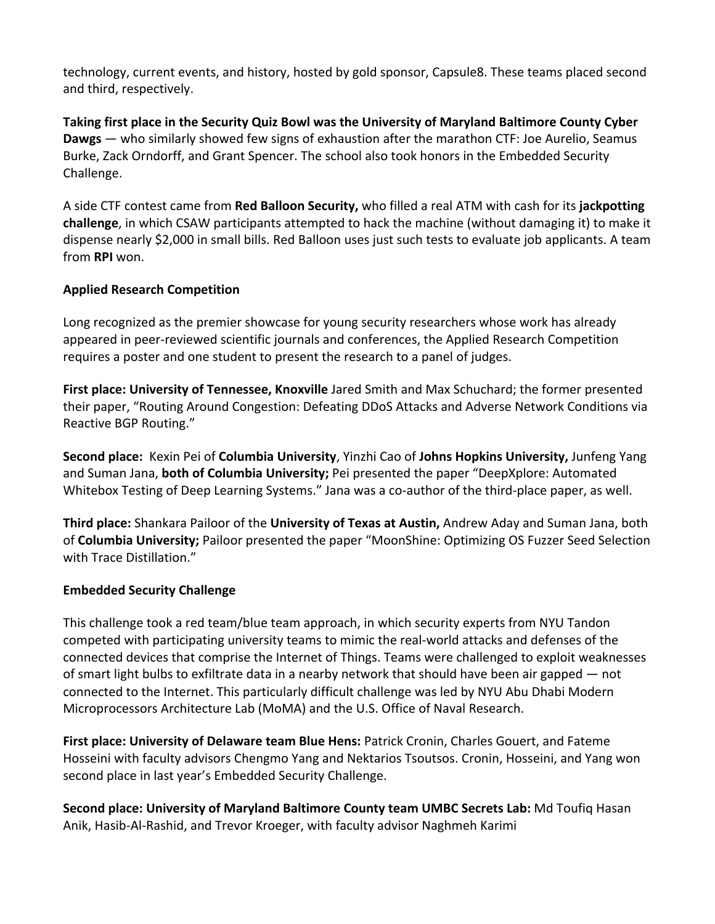technology, current events, and history, hosted by gold sponsor, Capsule8. These teams placed second and third, respectively.

Taking first place in the Security Quiz Bowl was the University of Maryland Baltimore County Cyber **Dawgs** — who similarly showed few signs of exhaustion after the marathon CTF: Joe Aurelio, Seamus Burke, Zack Orndorff, and Grant Spencer. The school also took honors in the Embedded Security Challenge.

A side CTF contest came from **Red Balloon Security,** who filled a real ATM with cash for its **jackpotting challenge**, in which CSAW participants attempted to hack the machine (without damaging it) to make it dispense nearly \$2,000 in small bills. Red Balloon uses just such tests to evaluate job applicants. A team from **RPI** won. 

# **Applied Research Competition**

Long recognized as the premier showcase for young security researchers whose work has already appeared in peer-reviewed scientific journals and conferences, the Applied Research Competition requires a poster and one student to present the research to a panel of judges.

**First place: University of Tennessee, Knoxville** Jared Smith and Max Schuchard; the former presented their paper, "Routing Around Congestion: Defeating DDoS Attacks and Adverse Network Conditions via Reactive BGP Routing."

**Second place:** Kexin Pei of **Columbia University**, Yinzhi Cao of Johns Hopkins University, Junfeng Yang and Suman Jana, **both of Columbia University;** Pei presented the paper "DeepXplore: Automated Whitebox Testing of Deep Learning Systems." Jana was a co-author of the third-place paper, as well.

**Third place:** Shankara Pailoor of the **University of Texas at Austin,** Andrew Aday and Suman Jana, both of **Columbia University;** Pailoor presented the paper "MoonShine: Optimizing OS Fuzzer Seed Selection with Trace Distillation."

# **Embedded Security Challenge**

This challenge took a red team/blue team approach, in which security experts from NYU Tandon competed with participating university teams to mimic the real-world attacks and defenses of the connected devices that comprise the Internet of Things. Teams were challenged to exploit weaknesses of smart light bulbs to exfiltrate data in a nearby network that should have been air gapped — not connected to the Internet. This particularly difficult challenge was led by NYU Abu Dhabi Modern Microprocessors Architecture Lab (MoMA) and the U.S. Office of Naval Research.

**First place: University of Delaware team Blue Hens: Patrick Cronin, Charles Gouert, and Fateme** Hosseini with faculty advisors Chengmo Yang and Nektarios Tsoutsos. Cronin, Hosseini, and Yang won second place in last year's Embedded Security Challenge.

**Second place: University of Maryland Baltimore County team UMBC Secrets Lab: Md Toufiq Hasan** Anik, Hasib-Al-Rashid, and Trevor Kroeger, with faculty advisor Naghmeh Karimi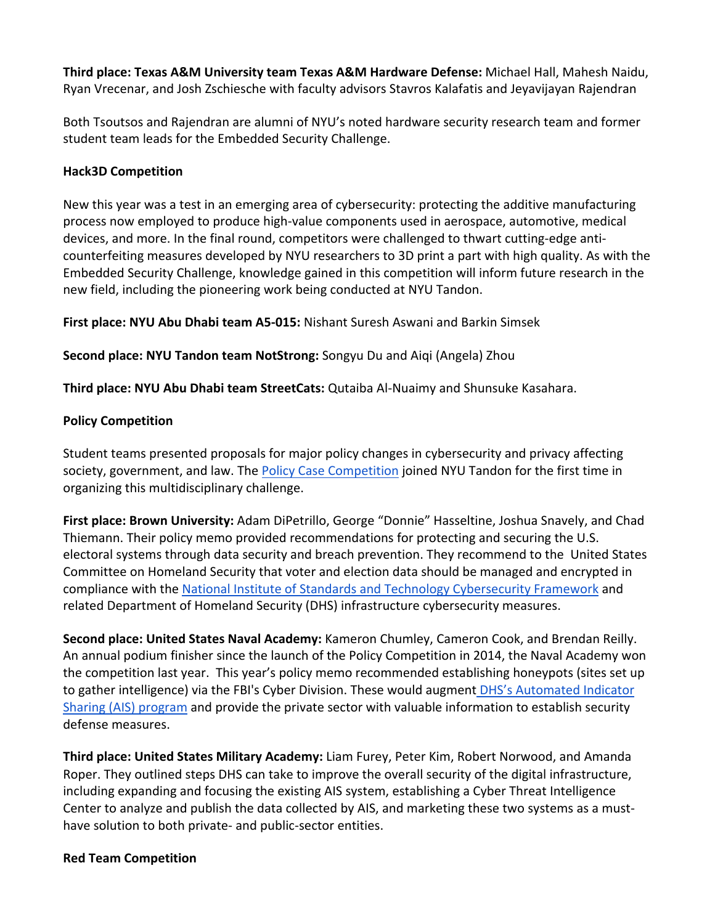**Third place: Texas A&M University team Texas A&M Hardware Defense: Michael Hall, Mahesh Naidu,** Ryan Vrecenar, and Josh Zschiesche with faculty advisors Stavros Kalafatis and Jeyavijayan Rajendran

Both Tsoutsos and Rajendran are alumni of NYU's noted hardware security research team and former student team leads for the Embedded Security Challenge.

### **Hack3D Competition**

New this year was a test in an emerging area of cybersecurity: protecting the additive manufacturing process now employed to produce high-value components used in aerospace, automotive, medical devices, and more. In the final round, competitors were challenged to thwart cutting-edge anticounterfeiting measures developed by NYU researchers to 3D print a part with high quality. As with the Embedded Security Challenge, knowledge gained in this competition will inform future research in the new field, including the pioneering work being conducted at NYU Tandon.

**First place: NYU Abu Dhabi team A5-015:** Nishant Suresh Aswani and Barkin Simsek

**Second place: NYU Tandon team NotStrong:** Songyu Du and Aiqi (Angela) Zhou

**Third place: NYU Abu Dhabi team StreetCats:** Qutaiba Al-Nuaimy and Shunsuke Kasahara.

#### **Policy Competition**

Student teams presented proposals for major policy changes in cybersecurity and privacy affecting society, government, and law. The Policy Case Competition joined NYU Tandon for the first time in organizing this multidisciplinary challenge.

First place: Brown University: Adam DiPetrillo, George "Donnie" Hasseltine, Joshua Snavely, and Chad Thiemann. Their policy memo provided recommendations for protecting and securing the U.S. electoral systems through data security and breach prevention. They recommend to the United States Committee on Homeland Security that voter and election data should be managed and encrypted in compliance with the National Institute of Standards and Technology Cybersecurity Framework and related Department of Homeland Security (DHS) infrastructure cybersecurity measures.

**Second place: United States Naval Academy:** Kameron Chumley, Cameron Cook, and Brendan Reilly. An annual podium finisher since the launch of the Policy Competition in 2014, the Naval Academy won the competition last year. This year's policy memo recommended establishing honeypots (sites set up to gather intelligence) via the FBI's Cyber Division. These would augment DHS's Automated Indicator Sharing (AIS) program and provide the private sector with valuable information to establish security defense measures.

**Third place: United States Military Academy:** Liam Furey, Peter Kim, Robert Norwood, and Amanda Roper. They outlined steps DHS can take to improve the overall security of the digital infrastructure, including expanding and focusing the existing AIS system, establishing a Cyber Threat Intelligence Center to analyze and publish the data collected by AIS, and marketing these two systems as a musthave solution to both private- and public-sector entities.

#### **Red Team Competition**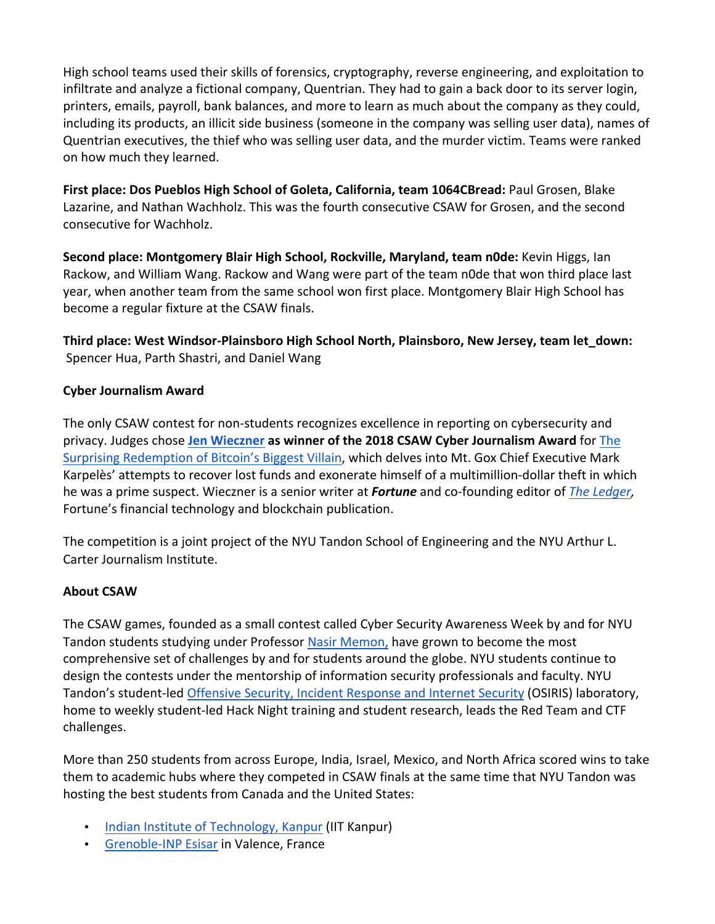High school teams used their skills of forensics, cryptography, reverse engineering, and exploitation to infiltrate and analyze a fictional company, Quentrian. They had to gain a back door to its server login, printers, emails, payroll, bank balances, and more to learn as much about the company as they could, including its products, an illicit side business (someone in the company was selling user data), names of Quentrian executives, the thief who was selling user data, and the murder victim. Teams were ranked on how much they learned.

First place: Dos Pueblos High School of Goleta, California, team 1064CBread: Paul Grosen, Blake Lazarine, and Nathan Wachholz. This was the fourth consecutive CSAW for Grosen, and the second consecutive for Wachholz.

**Second place: Montgomery Blair High School, Rockville, Maryland, team n0de:** Kevin Higgs, Ian Rackow, and William Wang. Rackow and Wang were part of the team n0de that won third place last year, when another team from the same school won first place. Montgomery Blair High School has become a regular fixture at the CSAW finals.

Third place: West Windsor-Plainsboro High School North, Plainsboro, New Jersey, team let down: Spencer Hua, Parth Shastri, and Daniel Wang

# **Cyber Journalism Award**

The only CSAW contest for non-students recognizes excellence in reporting on cybersecurity and privacy. Judges chose Jen Wieczner as winner of the 2018 CSAW Cyber Journalism Award for The Surprising Redemption of Bitcoin's Biggest Villain, which delves into Mt. Gox Chief Executive Mark Karpelès' attempts to recover lost funds and exonerate himself of a multimillion-dollar theft in which he was a prime suspect. Wieczner is a senior writer at **Fortune** and co-founding editor of *The Ledger*, Fortune's financial technology and blockchain publication.

The competition is a joint project of the NYU Tandon School of Engineering and the NYU Arthur L. Carter Journalism Institute.

# **About CSAW**

The CSAW games, founded as a small contest called Cyber Security Awareness Week by and for NYU Tandon students studying under Professor Nasir Memon, have grown to become the most comprehensive set of challenges by and for students around the globe. NYU students continue to design the contests under the mentorship of information security professionals and faculty. NYU Tandon's student-led Offensive Security, Incident Response and Internet Security (OSIRIS) laboratory, home to weekly student-led Hack Night training and student research, leads the Red Team and CTF challenges.

More than 250 students from across Europe, India, Israel, Mexico, and North Africa scored wins to take them to academic hubs where they competed in CSAW finals at the same time that NYU Tandon was hosting the best students from Canada and the United States:

- Indian Institute of Technology, Kanpur (IIT Kanpur)
- Grenoble-INP Esisar in Valence, France